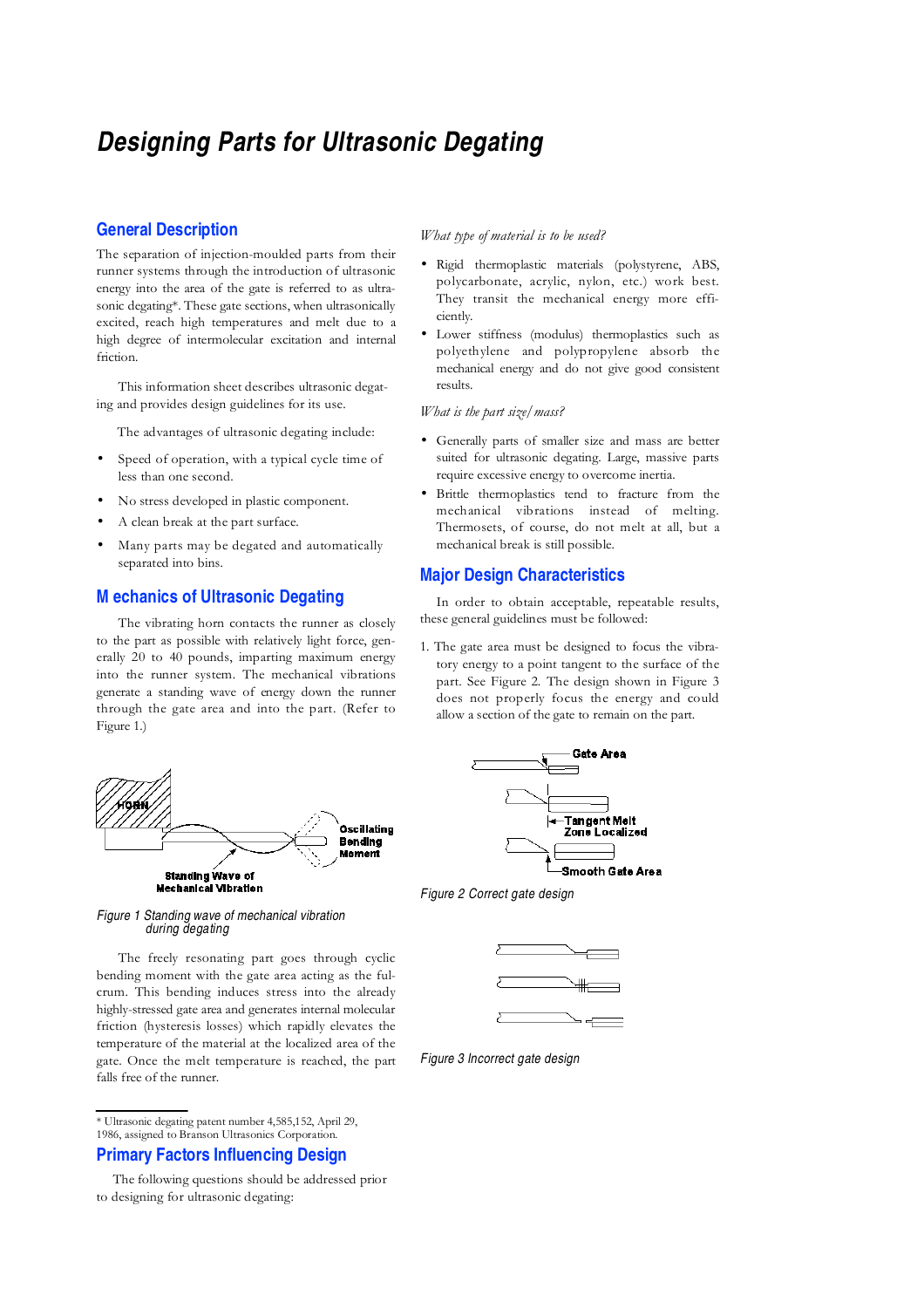# **Designing Parts for Ultrasonic Degating**

# **General Description**

The separation of injection-moulded parts from their runner systems through the introduction of ultrasonic energy into the area of the gate is referred to as ultrasonic degating\*. These gate sections, when ultrasonically excited, reach high temperatures and melt due to a high degree of intermolecular excitation and internal friction.

This information sheet describes ultrasonic degating and provides design guidelines for its use.

The advantages of ultrasonic degating include:

- Speed of operation, with a typical cycle time of less than one second.
- No stress developed in plastic component.
- A clean break at the part surface.
- Many parts may be degated and automatically separated into bins.

## **M echanics of Ultrasonic Degating**

The vibrating horn contacts the runner as closely to the part as possible with relatively light force, generally 20 to 40 pounds, imparting maximum energy into the runner system. The mechanical vibrations generate a standing wave of energy down the runner through the gate area and into the part. (Refer to Figure 1.)



#### Figure 1 Standing wave of mechanical vibration during degating

The freely resonating part goes through cyclic bending moment with the gate area acting as the fulcrum. This bending induces stress into the already highly-stressed gate area and generates internal molecular friction (hysteresis losses) which rapidly elevates the temperature of the material at the localized area of the gate. Once the melt temperature is reached, the part falls free of the runner.

\* Ultrasonic degating patent number 4,585,152, April 29,

1986, assigned to Branson Ultrasonics Corporation.

# **Primary Factors Influencing Design**

#### What type of material is to be used?

- Rigid thermoplastic materials (polystyrene, ABS, polycarbonate, acrylic, nylon, etc.) work best. They transit the mechanical energy more efficiently.
- Lower stiffness (modulus) thermoplastics such as polyethylene and polypropylene absorb the mechanical energy and do not give good consistent results.

#### What is the part size/mass?

- Generally parts of smaller size and mass are better suited for ultrasonic degating. Large, massive parts require excessive energy to overcome inertia.
- Brittle thermoplastics tend to fracture from the mechanical vibrations instead of melting. Thermosets, of course, do not melt at all, but a mechanical break is still possible.

### **Major Design Characteristics**

In order to obtain acceptable, repeatable results, these general guidelines must be followed:

1. The gate area must be designed to focus the vibratory energy to a point tangent to the surface of the part. See Figure 2. The design shown in Figure 3 does not properly focus the energy and could allow a section of the gate to remain on the part.



Figure 2 Correct gate design



Figure 3 Incorrect gate design

The following questions should be addressed prior to designing for ultrasonic degating: